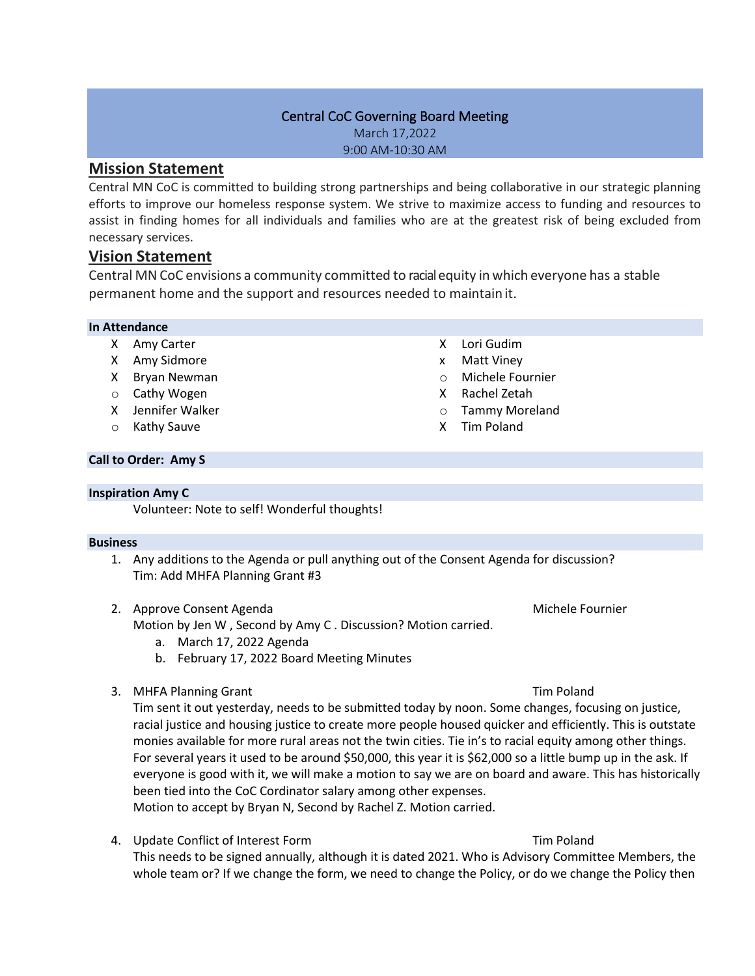# Central CoC Governing Board Meeting

March 17,2022 9:00 AM-10:30 AM

# **Mission Statement**

Central MN CoC is committed to building strong partnerships and being collaborative in our strategic planning efforts to improve our homeless response system. We strive to maximize access to funding and resources to assist in finding homes for all individuals and families who are at the greatest risk of being excluded from necessary services.

# **Vision Statement**

Central MN CoC envisions a community committed to racialequity in which everyone has a stable permanent home and the support and resources needed to maintain it.

### **In Attendance**

- X Amy Carter
- X Amy Sidmore
- X Bryan Newman
- o Cathy Wogen
- X Jennifer Walker
- o Kathy Sauve
- X Lori Gudim
- x Matt Viney
- o Michele Fournier
- X Rachel Zetah
- o Tammy Moreland
- X Tim Poland

### **Call to Order: Amy S**

### **Inspiration Amy C**

Volunteer: Note to self! Wonderful thoughts!

### **Business**

- 1. Any additions to the Agenda or pull anything out of the Consent Agenda for discussion? Tim: Add MHFA Planning Grant #3
- 2. Approve Consent Agenda Michele Fournier

Motion by Jen W , Second by Amy C . Discussion? Motion carried.

- a. March 17, 2022 Agenda
- b. February 17, 2022 Board Meeting Minutes
- 3. MHFA Planning Grant Tim Poland

Tim sent it out yesterday, needs to be submitted today by noon. Some changes, focusing on justice, racial justice and housing justice to create more people housed quicker and efficiently. This is outstate monies available for more rural areas not the twin cities. Tie in's to racial equity among other things. For several years it used to be around \$50,000, this year it is \$62,000 so a little bump up in the ask. If everyone is good with it, we will make a motion to say we are on board and aware. This has historically been tied into the CoC Cordinator salary among other expenses. Motion to accept by Bryan N, Second by Rachel Z. Motion carried.

4. Update Conflict of Interest Form Tim Poland

This needs to be signed annually, although it is dated 2021. Who is Advisory Committee Members, the whole team or? If we change the form, we need to change the Policy, or do we change the Policy then